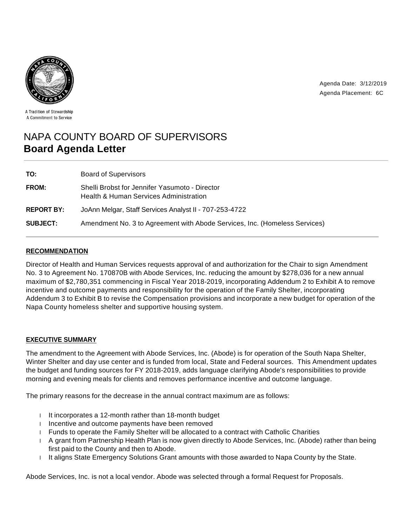

Agenda Date: 3/12/2019 Agenda Placement: 6C

A Tradition of Stewardship A Commitment to Service

# NAPA COUNTY BOARD OF SUPERVISORS **Board Agenda Letter**

| TO:               | <b>Board of Supervisors</b>                                                              |
|-------------------|------------------------------------------------------------------------------------------|
| <b>FROM:</b>      | Shelli Brobst for Jennifer Yasumoto - Director<br>Health & Human Services Administration |
| <b>REPORT BY:</b> | JoAnn Melgar, Staff Services Analyst II - 707-253-4722                                   |
| <b>SUBJECT:</b>   | Amendment No. 3 to Agreement with Abode Services, Inc. (Homeless Services)               |

## **RECOMMENDATION**

Director of Health and Human Services requests approval of and authorization for the Chair to sign Amendment No. 3 to Agreement No. 170870B with Abode Services, Inc. reducing the amount by \$278,036 for a new annual maximum of \$2,780,351 commencing in Fiscal Year 2018-2019, incorporating Addendum 2 to Exhibit A to remove incentive and outcome payments and responsibility for the operation of the Family Shelter, incorporating Addendum 3 to Exhibit B to revise the Compensation provisions and incorporate a new budget for operation of the Napa County homeless shelter and supportive housing system.

### **EXECUTIVE SUMMARY**

The amendment to the Agreement with Abode Services, Inc. (Abode) is for operation of the South Napa Shelter, Winter Shelter and day use center and is funded from local, State and Federal sources. This Amendment updates the budget and funding sources for FY 2018-2019, adds language clarifying Abode's responsibilities to provide morning and evening meals for clients and removes performance incentive and outcome language.

The primary reasons for the decrease in the annual contract maximum are as follows:

- $I$  It incorporates a 12-month rather than 18-month budget
- I Incentive and outcome payments have been removed
- Funds to operate the Family Shelter will be allocated to a contract with Catholic Charities
- A grant from Partnership Health Plan is now given directly to Abode Services, Inc. (Abode) rather than being first paid to the County and then to Abode.
- It aligns State Emergency Solutions Grant amounts with those awarded to Napa County by the State.

Abode Services, Inc. is not a local vendor. Abode was selected through a formal Request for Proposals.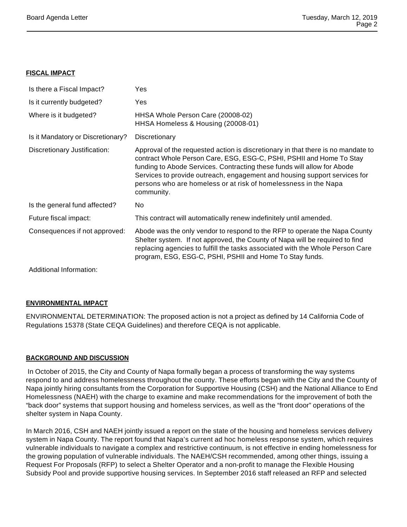### **FISCAL IMPACT**

| Is there a Fiscal Impact?         | Yes                                                                                                                                                                                                                                                                                                                                                                                               |
|-----------------------------------|---------------------------------------------------------------------------------------------------------------------------------------------------------------------------------------------------------------------------------------------------------------------------------------------------------------------------------------------------------------------------------------------------|
| Is it currently budgeted?         | Yes                                                                                                                                                                                                                                                                                                                                                                                               |
| Where is it budgeted?             | HHSA Whole Person Care (20008-02)<br>HHSA Homeless & Housing (20008-01)                                                                                                                                                                                                                                                                                                                           |
| Is it Mandatory or Discretionary? | Discretionary                                                                                                                                                                                                                                                                                                                                                                                     |
| Discretionary Justification:      | Approval of the requested action is discretionary in that there is no mandate to<br>contract Whole Person Care, ESG, ESG-C, PSHI, PSHII and Home To Stay<br>funding to Abode Services. Contracting these funds will allow for Abode<br>Services to provide outreach, engagement and housing support services for<br>persons who are homeless or at risk of homelessness in the Napa<br>community. |
| Is the general fund affected?     | No.                                                                                                                                                                                                                                                                                                                                                                                               |
| Future fiscal impact:             | This contract will automatically renew indefinitely until amended.                                                                                                                                                                                                                                                                                                                                |
| Consequences if not approved:     | Abode was the only vendor to respond to the RFP to operate the Napa County<br>Shelter system. If not approved, the County of Napa will be required to find<br>replacing agencies to fulfill the tasks associated with the Whole Person Care<br>program, ESG, ESG-C, PSHI, PSHII and Home To Stay funds.                                                                                           |
| Additional Information:           |                                                                                                                                                                                                                                                                                                                                                                                                   |

### **ENVIRONMENTAL IMPACT**

ENVIRONMENTAL DETERMINATION: The proposed action is not a project as defined by 14 California Code of Regulations 15378 (State CEQA Guidelines) and therefore CEQA is not applicable.

### **BACKGROUND AND DISCUSSION**

In October of 2015, the City and County of Napa formally began a process of transforming the way systems respond to and address homelessness throughout the county. These efforts began with the City and the County of Napa jointly hiring consultants from the Corporation for Supportive Housing (CSH) and the National Alliance to End Homelessness (NAEH) with the charge to examine and make recommendations for the improvement of both the "back door" systems that support housing and homeless services, as well as the "front door" operations of the shelter system in Napa County.

In March 2016, CSH and NAEH jointly issued a report on the state of the housing and homeless services delivery system in Napa County. The report found that Napa's current ad hoc homeless response system, which requires vulnerable individuals to navigate a complex and restrictive continuum, is not effective in ending homelessness for the growing population of vulnerable individuals. The NAEH/CSH recommended, among other things, issuing a Request For Proposals (RFP) to select a Shelter Operator and a non-profit to manage the Flexible Housing Subsidy Pool and provide supportive housing services. In September 2016 staff released an RFP and selected